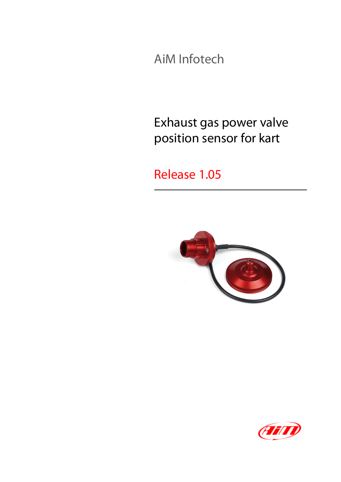AiM Infotech

#### Exhaust gas power valve position sensor for kart

#### Release 1.05



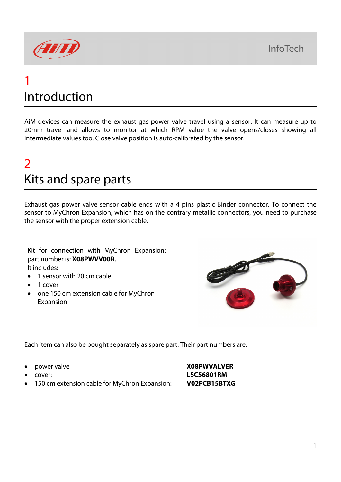**InfoTech** 



#### 1 Introduction

AiM devices can measure the exhaust gas power valve travel using a sensor. It can measure up to 20mm travel and allows to monitor at which RPM value the valve opens/closes showing all intermediate values too. Close valve position is auto-calibrated by the sensor.

## $\overline{\mathcal{L}}$ Kits and spare parts

Exhaust gas power valve sensor cable ends with a 4 pins plastic Binder connector. To connect the sensor to MyChron Expansion, which has on the contrary metallic connectors, you need to purchase the sensor with the proper extension cable.

Kit for connection with MyChron Expansion: part number is: **X08PWVV00R**. It includes**:**

- 1 sensor with 20 cm cable
- 1 cover
- one 150 cm extension cable for MyChron Expansion



Each item can also be bought separately as spare part. Their part numbers are:

- 
- 
- 150 cm extension cable for MyChron Expansion: **V02PCB15BTXG**

• power valve **X08PWVALVER** • cover: **LSC56801RM**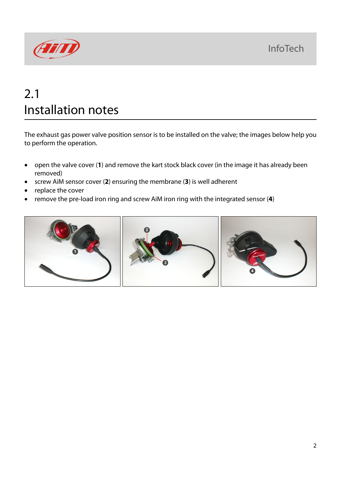

# 2.1 Installation notes

The exhaust gas power valve position sensor is to be installed on the valve; the images below help you to perform the operation.

- open the valve cover (**1**) and remove the kart stock black cover (in the image it has already been removed)
- screw AiM sensor cover (**2**) ensuring the membrane (**3**) is well adherent
- replace the cover
- remove the pre-load iron ring and screw AiM iron ring with the integrated sensor (**4**)